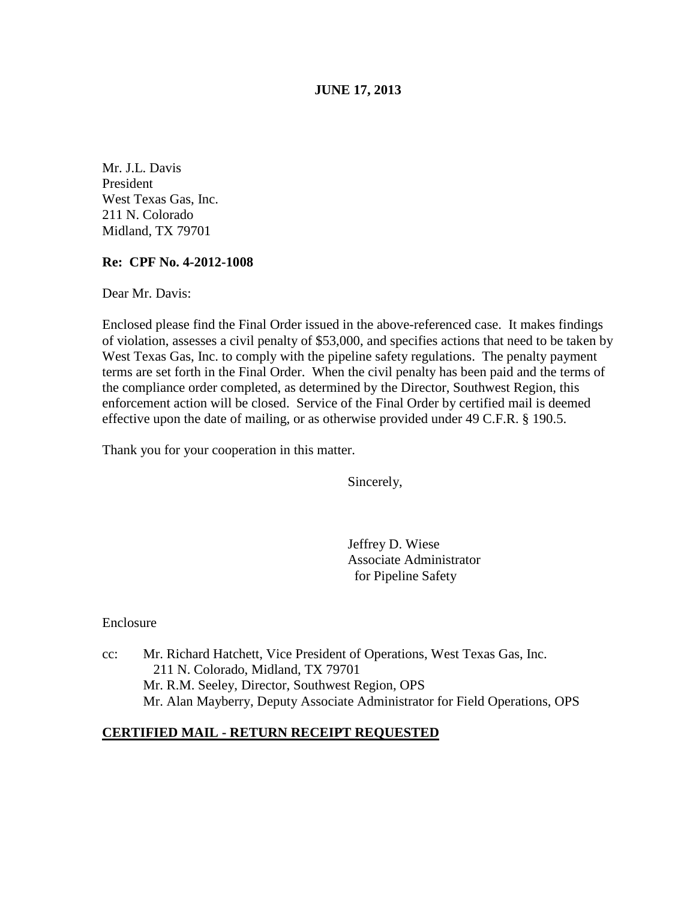**JUNE 17, 2013** 

Mr. J.L. Davis President West Texas Gas, Inc. 211 N. Colorado Midland, TX 79701

## **Re: CPF No. 4-2012-1008**

Dear Mr. Davis:

Enclosed please find the Final Order issued in the above-referenced case. It makes findings of violation, assesses a civil penalty of \$53,000, and specifies actions that need to be taken by West Texas Gas, Inc. to comply with the pipeline safety regulations. The penalty payment terms are set forth in the Final Order. When the civil penalty has been paid and the terms of the compliance order completed, as determined by the Director, Southwest Region, this enforcement action will be closed. Service of the Final Order by certified mail is deemed effective upon the date of mailing, or as otherwise provided under 49 C.F.R. § 190.5.

Thank you for your cooperation in this matter.

Sincerely,

Jeffrey D. Wiese Associate Administrator for Pipeline Safety

Enclosure

cc: Mr. Richard Hatchett, Vice President of Operations, West Texas Gas, Inc. 211 N. Colorado, Midland, TX 79701 Mr. R.M. Seeley, Director, Southwest Region, OPS Mr. Alan Mayberry, Deputy Associate Administrator for Field Operations, OPS

## **CERTIFIED MAIL - RETURN RECEIPT REQUESTED**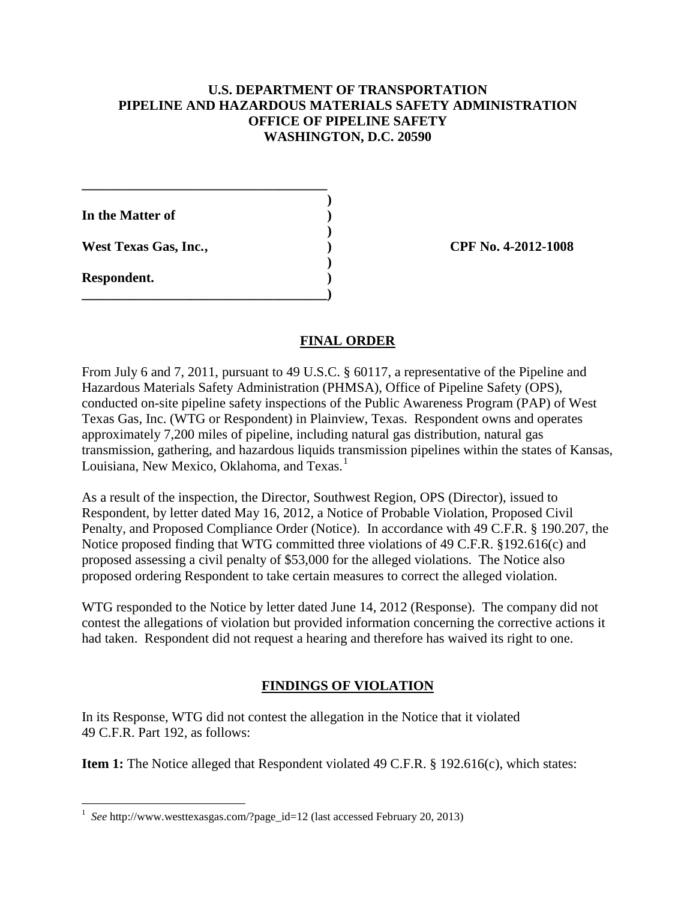## **U.S. DEPARTMENT OF TRANSPORTATION PIPELINE AND HAZARDOUS MATERIALS SAFETY ADMINISTRATION OFFICE OF PIPELINE SAFETY WASHINGTON, D.C. 20590**

 **) In the Matter of ) )** 

**\_\_\_\_\_\_\_\_\_\_\_\_\_\_\_\_\_\_\_\_\_\_\_\_\_\_\_\_\_\_\_\_\_\_\_\_** 

**\_\_\_\_\_\_\_\_\_\_\_\_\_\_\_\_\_\_\_\_\_\_\_\_\_\_\_\_\_\_\_\_\_\_\_\_)** 

 **)** 

**Respondent. )** 

West Texas Gas, Inc., *CPF No. 4-2012-1008* 

# **FINAL ORDER**

From July 6 and 7, 2011, pursuant to 49 U.S.C. § 60117, a representative of the Pipeline and Hazardous Materials Safety Administration (PHMSA), Office of Pipeline Safety (OPS), conducted on-site pipeline safety inspections of the Public Awareness Program (PAP) of West Texas Gas, Inc. (WTG or Respondent) in Plainview, Texas. Respondent owns and operates approximately 7,200 miles of pipeline, including natural gas distribution, natural gas transmission, gathering, and hazardous liquids transmission pipelines within the states of Kansas, Louisiana, New Mexico, Oklahoma, and Texas. 1

As a result of the inspection, the Director, Southwest Region, OPS (Director), issued to Respondent, by letter dated May 16, 2012, a Notice of Probable Violation, Proposed Civil Penalty, and Proposed Compliance Order (Notice). In accordance with 49 C.F.R. § 190.207, the Notice proposed finding that WTG committed three violations of 49 C.F.R. §192.616(c) and proposed assessing a civil penalty of \$53,000 for the alleged violations. The Notice also proposed ordering Respondent to take certain measures to correct the alleged violation.

WTG responded to the Notice by letter dated June 14, 2012 (Response). The company did not contest the allegations of violation but provided information concerning the corrective actions it had taken. Respondent did not request a hearing and therefore has waived its right to one.

# **FINDINGS OF VIOLATION**

In its Response, WTG did not contest the allegation in the Notice that it violated 49 C.F.R. Part 192, as follows:

Item 1: The Notice alleged that Respondent violated 49 C.F.R. § 192.616(c), which states:

 $\overline{a}$ <sup>1</sup> See http://www.westtexasgas.com/?page\_id=12 (last accessed February 20, 2013)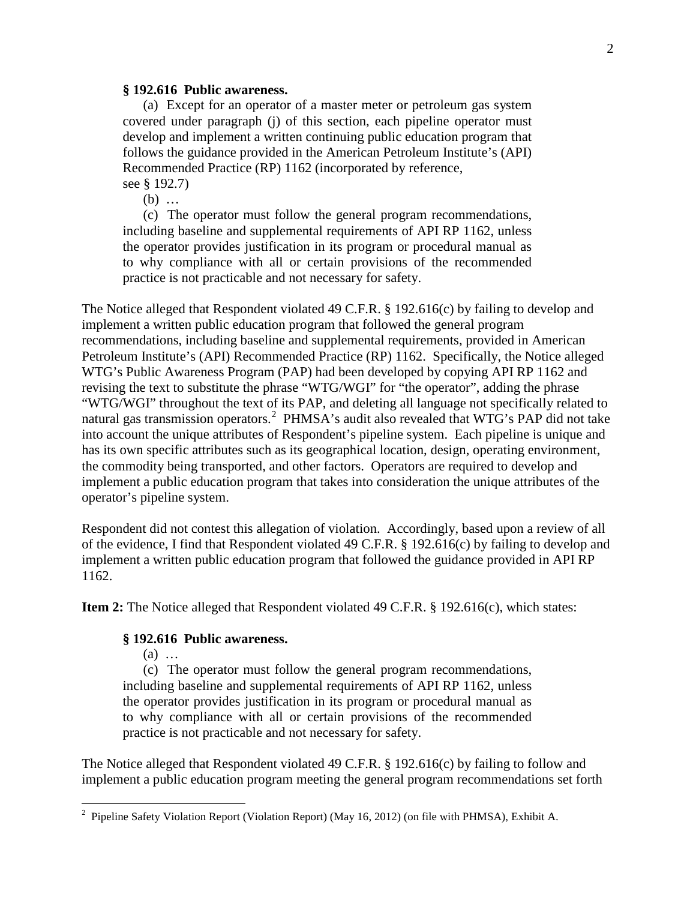#### **§ 192.616 Public awareness.**

(a) Except for an operator of a master meter or petroleum gas system covered under paragraph (j) of this section, each pipeline operator must develop and implement a written continuing public education program that follows the guidance provided in the American Petroleum Institute's (API) Recommended Practice (RP) 1162 (incorporated by reference,

see § 192.7)

(b) …

(c) The operator must follow the general program recommendations, including baseline and supplemental requirements of API RP 1162, unless the operator provides justification in its program or procedural manual as to why compliance with all or certain provisions of the recommended practice is not practicable and not necessary for safety.

The Notice alleged that Respondent violated 49 C.F.R. § 192.616(c) by failing to develop and implement a written public education program that followed the general program recommendations, including baseline and supplemental requirements, provided in American Petroleum Institute's (API) Recommended Practice (RP) 1162. Specifically, the Notice alleged WTG's Public Awareness Program (PAP) had been developed by copying API RP 1162 and revising the text to substitute the phrase "WTG/WGI" for "the operator", adding the phrase "WTG/WGI" throughout the text of its PAP, and deleting all language not specifically related to natural gas transmission operators.<sup>2</sup> PHMSA's audit also revealed that WTG's PAP did not take into account the unique attributes of Respondent's pipeline system. Each pipeline is unique and has its own specific attributes such as its geographical location, design, operating environment, the commodity being transported, and other factors. Operators are required to develop and implement a public education program that takes into consideration the unique attributes of the operator's pipeline system.

Respondent did not contest this allegation of violation. Accordingly, based upon a review of all of the evidence, I find that Respondent violated 49 C.F.R. § 192.616(c) by failing to develop and implement a written public education program that followed the guidance provided in API RP 1162.

**Item 2:** The Notice alleged that Respondent violated 49 C.F.R. § 192.616(c), which states:

#### **§ 192.616 Public awareness.**

(a) …

(c) The operator must follow the general program recommendations, including baseline and supplemental requirements of API RP 1162, unless the operator provides justification in its program or procedural manual as to why compliance with all or certain provisions of the recommended practice is not practicable and not necessary for safety.

The Notice alleged that Respondent violated 49 C.F.R. § 192.616(c) by failing to follow and implement a public education program meeting the general program recommendations set forth

 2 Pipeline Safety Violation Report (Violation Report) (May 16, 2012) (on file with PHMSA), Exhibit A.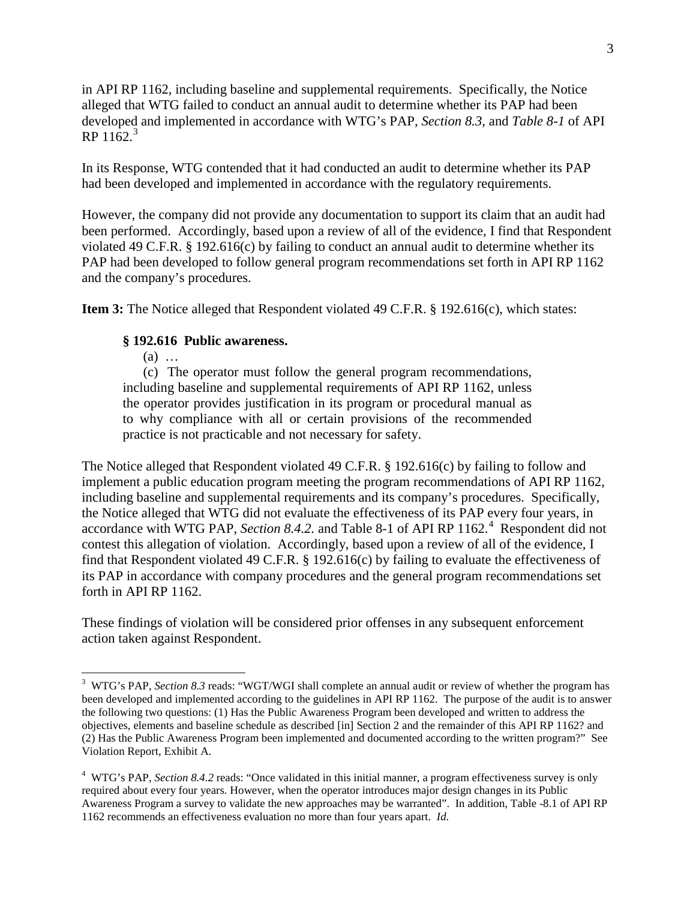in API RP 1162, including baseline and supplemental requirements. Specifically, the Notice alleged that WTG failed to conduct an annual audit to determine whether its PAP had been developed and implemented in accordance with WTG's PAP, *Section 8.3*, and *Table 8-1* of API  $RP 1162.<sup>3</sup>$ 

In its Response, WTG contended that it had conducted an audit to determine whether its PAP had been developed and implemented in accordance with the regulatory requirements.

However, the company did not provide any documentation to support its claim that an audit had been performed. Accordingly, based upon a review of all of the evidence, I find that Respondent violated 49 C.F.R. § 192.616(c) by failing to conduct an annual audit to determine whether its PAP had been developed to follow general program recommendations set forth in API RP 1162 and the company's procedures.

**Item 3:** The Notice alleged that Respondent violated 49 C.F.R. § 192.616(c), which states:

#### **§ 192.616 Public awareness.**

(a) …

 $\overline{a}$ 

(c) The operator must follow the general program recommendations, including baseline and supplemental requirements of API RP 1162, unless the operator provides justification in its program or procedural manual as to why compliance with all or certain provisions of the recommended practice is not practicable and not necessary for safety.

The Notice alleged that Respondent violated 49 C.F.R. § 192.616(c) by failing to follow and implement a public education program meeting the program recommendations of API RP 1162, including baseline and supplemental requirements and its company's procedures. Specifically, the Notice alleged that WTG did not evaluate the effectiveness of its PAP every four years, in accordance with WTG PAP, *Section 8.4.2*. and Table 8-1 of API RP 1162.<sup>4</sup> Respondent did not contest this allegation of violation. Accordingly, based upon a review of all of the evidence, I find that Respondent violated 49 C.F.R. § 192.616(c) by failing to evaluate the effectiveness of its PAP in accordance with company procedures and the general program recommendations set forth in API RP 1162.

These findings of violation will be considered prior offenses in any subsequent enforcement action taken against Respondent.

<sup>&</sup>lt;sup>3</sup> WTG's PAP, *Section 8.3* reads: "WGT/WGI shall complete an annual audit or review of whether the program has been developed and implemented according to the guidelines in API RP 1162. The purpose of the audit is to answer the following two questions: (1) Has the Public Awareness Program been developed and written to address the objectives, elements and baseline schedule as described [in] Section 2 and the remainder of this API RP 1162? and (2) Has the Public Awareness Program been implemented and documented according to the written program?" See Violation Report, Exhibit A.

<sup>&</sup>lt;sup>4</sup> WTG's PAP, *Section 8.4.2* reads: "Once validated in this initial manner, a program effectiveness survey is only required about every four years. However, when the operator introduces major design changes in its Public Awareness Program a survey to validate the new approaches may be warranted". In addition, Table -8.1 of API RP 1162 recommends an effectiveness evaluation no more than four years apart. *Id.*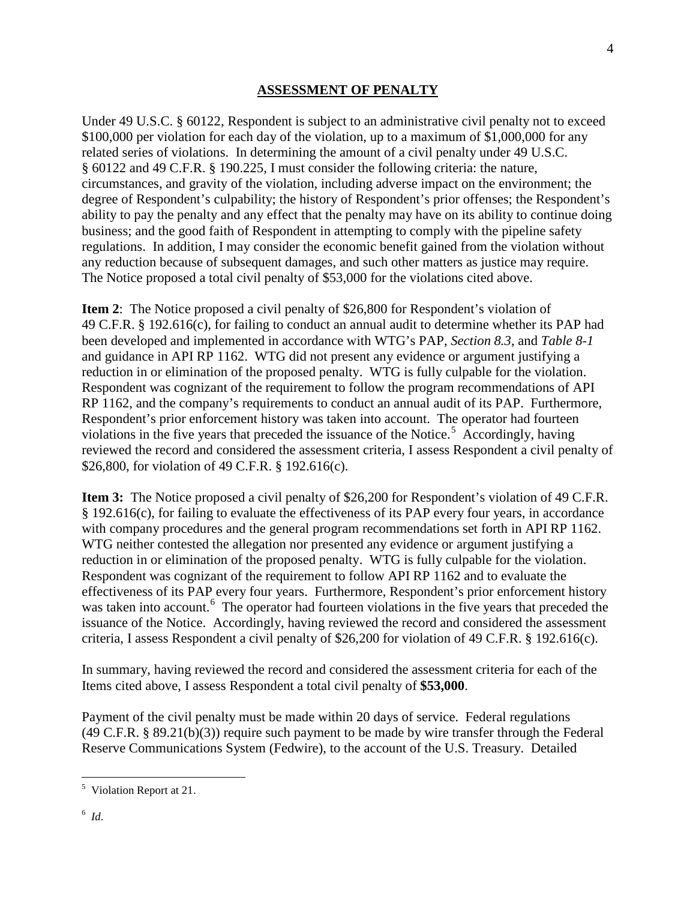#### **ASSESSMENT OF PENALTY**

Under 49 U.S.C. § 60122, Respondent is subject to an administrative civil penalty not to exceed \$100,000 per violation for each day of the violation, up to a maximum of \$1,000,000 for any related series of violations. In determining the amount of a civil penalty under 49 U.S.C. § 60122 and 49 C.F.R. § 190.225, I must consider the following criteria: the nature, circumstances, and gravity of the violation, including adverse impact on the environment; the degree of Respondent's culpability; the history of Respondent's prior offenses; the Respondent's ability to pay the penalty and any effect that the penalty may have on its ability to continue doing business; and the good faith of Respondent in attempting to comply with the pipeline safety regulations. In addition, I may consider the economic benefit gained from the violation without any reduction because of subsequent damages, and such other matters as justice may require. The Notice proposed a total civil penalty of \$53,000 for the violations cited above.

**Item 2**: The Notice proposed a civil penalty of \$26,800 for Respondent's violation of 49 C.F.R. § 192.616(c), for failing to conduct an annual audit to determine whether its PAP had been developed and implemented in accordance with WTG's PAP, *Section 8.3*, and *Table 8-1* and guidance in API RP 1162. WTG did not present any evidence or argument justifying a reduction in or elimination of the proposed penalty. WTG is fully culpable for the violation. Respondent was cognizant of the requirement to follow the program recommendations of API RP 1162, and the company's requirements to conduct an annual audit of its PAP. Furthermore, Respondent's prior enforcement history was taken into account. The operator had fourteen violations in the five years that preceded the issuance of the Notice.<sup>5</sup> Accordingly, having reviewed the record and considered the assessment criteria, I assess Respondent a civil penalty of \$26,800, for violation of 49 C.F.R. § 192.616(c).

**Item 3:** The Notice proposed a civil penalty of \$26,200 for Respondent's violation of 49 C.F.R. § 192.616(c), for failing to evaluate the effectiveness of its PAP every four years, in accordance with company procedures and the general program recommendations set forth in API RP 1162. WTG neither contested the allegation nor presented any evidence or argument justifying a reduction in or elimination of the proposed penalty. WTG is fully culpable for the violation. Respondent was cognizant of the requirement to follow API RP 1162 and to evaluate the effectiveness of its PAP every four years. Furthermore, Respondent's prior enforcement history was taken into account.<sup>6</sup> The operator had fourteen violations in the five years that preceded the issuance of the Notice. Accordingly, having reviewed the record and considered the assessment criteria, I assess Respondent a civil penalty of \$26,200 for violation of 49 C.F.R. § 192.616(c).

In summary, having reviewed the record and considered the assessment criteria for each of the Items cited above, I assess Respondent a total civil penalty of **\$53,000**.

Payment of the civil penalty must be made within 20 days of service. Federal regulations (49 C.F.R. § 89.21(b)(3)) require such payment to be made by wire transfer through the Federal Reserve Communications System (Fedwire), to the account of the U.S. Treasury. Detailed

 5 Violation Report at 21.